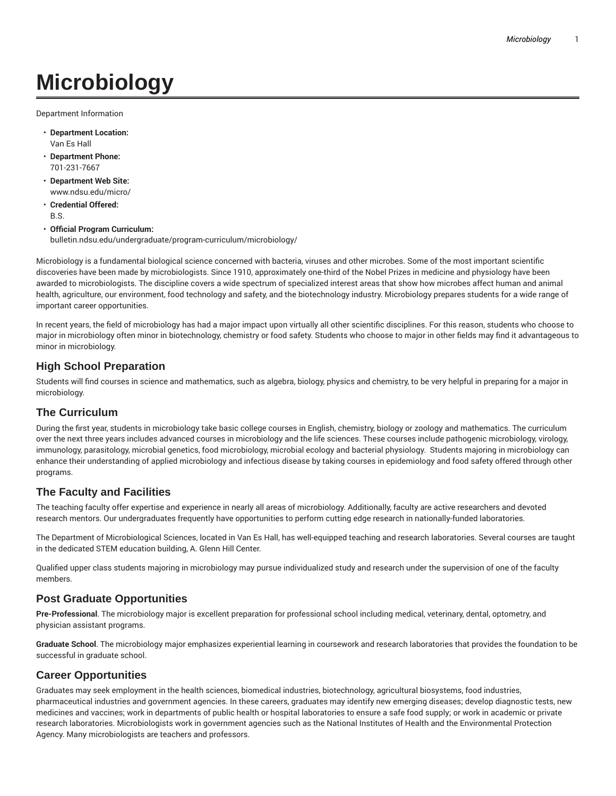# **Microbiology**

Department Information

- **Department Location:** Van Es Hall
- **Department Phone:** 701-231-7667
- **Department Web Site:** www.ndsu.edu/micro/
- **Credential Offered:** B.S.
- **Official Program Curriculum:** bulletin.ndsu.edu/undergraduate/program-curriculum/microbiology/

Microbiology is a fundamental biological science concerned with bacteria, viruses and other microbes. Some of the most important scientific discoveries have been made by microbiologists. Since 1910, approximately one-third of the Nobel Prizes in medicine and physiology have been awarded to microbiologists. The discipline covers a wide spectrum of specialized interest areas that show how microbes affect human and animal health, agriculture, our environment, food technology and safety, and the biotechnology industry. Microbiology prepares students for a wide range of important career opportunities.

In recent years, the field of microbiology has had a major impact upon virtually all other scientific disciplines. For this reason, students who choose to major in microbiology often minor in biotechnology, chemistry or food safety. Students who choose to major in other fields may find it advantageous to minor in microbiology.

## **High School Preparation**

Students will find courses in science and mathematics, such as algebra, biology, physics and chemistry, to be very helpful in preparing for a major in microbiology.

### **The Curriculum**

During the first year, students in microbiology take basic college courses in English, chemistry, biology or zoology and mathematics. The curriculum over the next three years includes advanced courses in microbiology and the life sciences. These courses include pathogenic microbiology, virology, immunology, parasitology, microbial genetics, food microbiology, microbial ecology and bacterial physiology. Students majoring in microbiology can enhance their understanding of applied microbiology and infectious disease by taking courses in epidemiology and food safety offered through other programs.

# **The Faculty and Facilities**

The teaching faculty offer expertise and experience in nearly all areas of microbiology. Additionally, faculty are active researchers and devoted research mentors. Our undergraduates frequently have opportunities to perform cutting edge research in nationally-funded laboratories.

The Department of Microbiological Sciences, located in Van Es Hall, has well-equipped teaching and research laboratories. Several courses are taught in the dedicated STEM education building, A. Glenn Hill Center.

Qualified upper class students majoring in microbiology may pursue individualized study and research under the supervision of one of the faculty members.

#### **Post Graduate Opportunities**

**Pre-Professional**. The microbiology major is excellent preparation for professional school including medical, veterinary, dental, optometry, and physician assistant programs.

**Graduate School**. The microbiology major emphasizes experiential learning in coursework and research laboratories that provides the foundation to be successful in graduate school.

# **Career Opportunities**

Graduates may seek employment in the health sciences, biomedical industries, biotechnology, agricultural biosystems, food industries, pharmaceutical industries and government agencies. In these careers, graduates may identify new emerging diseases; develop diagnostic tests, new medicines and vaccines; work in departments of public health or hospital laboratories to ensure a safe food supply; or work in academic or private research laboratories. Microbiologists work in government agencies such as the National Institutes of Health and the Environmental Protection Agency. Many microbiologists are teachers and professors.